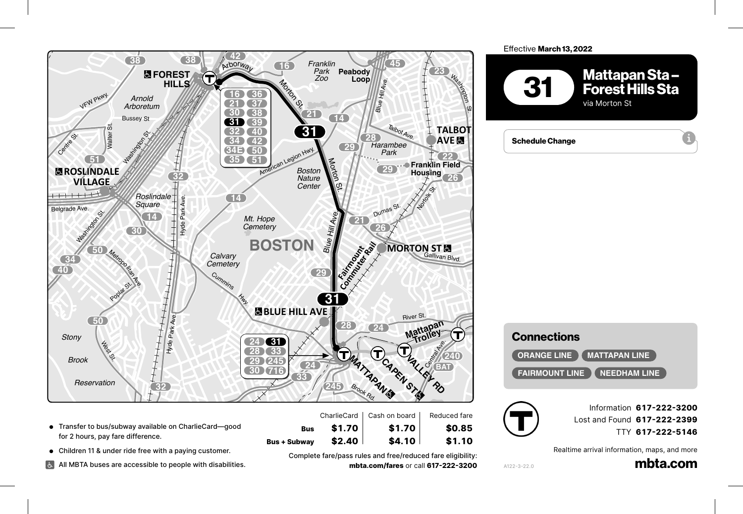

## Effective March 13, 2022 **1**<br>**1**arch 13. 2022

**18**



**201 210**





A122-3-22.0

 $MIZZ$ 

Information **617-222-3200** *East* Adams St. Lost and Found **617-222-2399** TTY **617-222-5146** *Exit 10 Square*

Realtime arrival information, maps, and more

<sub>on, maps, and more<br>**mbta.com**</sub> Robertson St.

 $\mathbb{R}^3$ 

Furnace Brook Pkwy.

● Transfer to bus/subway available on CharlieCard—good<br>for 2 hours, pay fare difference. for 2 hours, pay fare difference. **Cleary**

● Children 11 & under ride free with a paying customer.

Dedham Blvd.

All MBTA buses are accessible to people with disabilities.<br>**P** 

**Bus + Subway \$2.40 \$4.10 \$1.10**<br>Complete fare/pass rules and free/reduced fare eligibility<br>mpta com/fares.or.call 617-222-320 Complete fare/pass rules and free/reduced fare eligibility: **245 BAT mbta.com/fares** or call **617-222-3200 240** ++<br>|<br>|}

 $$4.10$ 

 $$1.10$ 

**Bus**